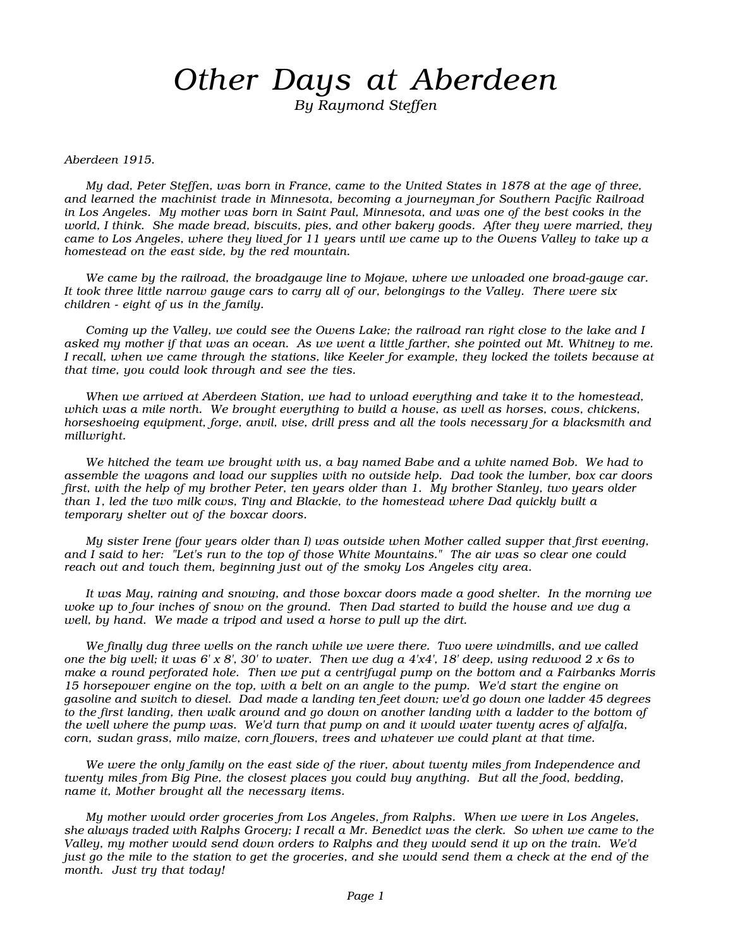## Other Days at Aberdeen

By Raymond Steffen

Aberdeen 1915.

My dad, Peter Steffen, was born in France, came to the United States in 1878 at the age of three, and learned the machinist trade in Minnesota, becoming a journeyman for Southern Pacific Railroad in Los Angeles. My mother was born in Saint Paul, Minnesota, and was one of the best cooks in the world, I think. She made bread, biscuits, pies, and other bakery goods. After they were married, they came to Los Angeles, where they lived for 11 years until we came up to the Owens Valley to take up a homestead on the east side, by the red mountain.

We came by the railroad, the broadgauge line to Mojave, where we unloaded one broad-gauge car. It took three little narrow gauge cars to carry all of our, belongings to the Valley. There were six children - eight of us in the family.

Coming up the Valley, we could see the Owens Lake; the railroad ran right close to the lake and I asked my mother if that was an ocean. As we went a little farther, she pointed out Mt. Whitney to me. I recall, when we came through the stations, like Keeler for example, they locked the toilets because at that time, you could look through and see the ties.

When we arrived at Aberdeen Station, we had to unload everything and take it to the homestead, which was a mile north. We brought everything to build a house, as well as horses, cows, chickens, horseshoeing equipment, forge, anvil, vise, drill press and all the tools necessary for a blacksmith and millwright.

We hitched the team we brought with us, a bay named Babe and a white named Bob. We had to assemble the wagons and load our supplies with no outside help. Dad took the lumber, box car doors first, with the help of my brother Peter, ten years older than 1. My brother Stanley, two years older than 1, led the two milk cows, Tiny and Blackie, to the homestead where Dad quickly built a temporary shelter out of the boxcar doors.

My sister Irene (four years older than I) was outside when Mother called supper that first evening, and I said to her: "Let's run to the top of those White Mountains." The air was so clear one could reach out and touch them, beginning just out of the smoky Los Angeles city area.

It was May, raining and snowing, and those boxcar doors made a good shelter. In the morning we woke up to four inches of snow on the ground. Then Dad started to build the house and we dug a well, by hand. We made a tripod and used a horse to pull up the dirt.

We finally dug three wells on the ranch while we were there. Two were windmills, and we called one the big well; it was 6' x 8', 30' to water. Then we dug a  $4'x4'$ , 18' deep, using redwood 2 x 6s to make a round perforated hole. Then we put a centrifugal pump on the bottom and a Fairbanks Morris 15 horsepower engine on the top, with a belt on an angle to the pump. We'd start the engine on gasoline and switch to diesel. Dad made a landing ten feet down; we'd go down one ladder 45 degrees to the first landing, then walk around and go down on another landing with a ladder to the bottom of the well where the pump was. We'd turn that pump on and it would water twenty acres of alfalfa, corn, sudan grass, milo maize, corn flowers, trees and whatever we could plant at that time.

We were the only family on the east side of the river, about twenty miles from Independence and twenty miles from Big Pine, the closest places you could buy anything. But all the food, bedding, name it, Mother brought all the necessary items.

My mother would order groceries from Los Angeles, from Ralphs. When we were in Los Angeles, she always traded with Ralphs Grocery; I recall a Mr. Benedict was the clerk. So when we came to the Valley, my mother would send down orders to Ralphs and they would send it up on the train. We'd just go the mile to the station to get the groceries, and she would send them a check at the end of the month. Just try that today!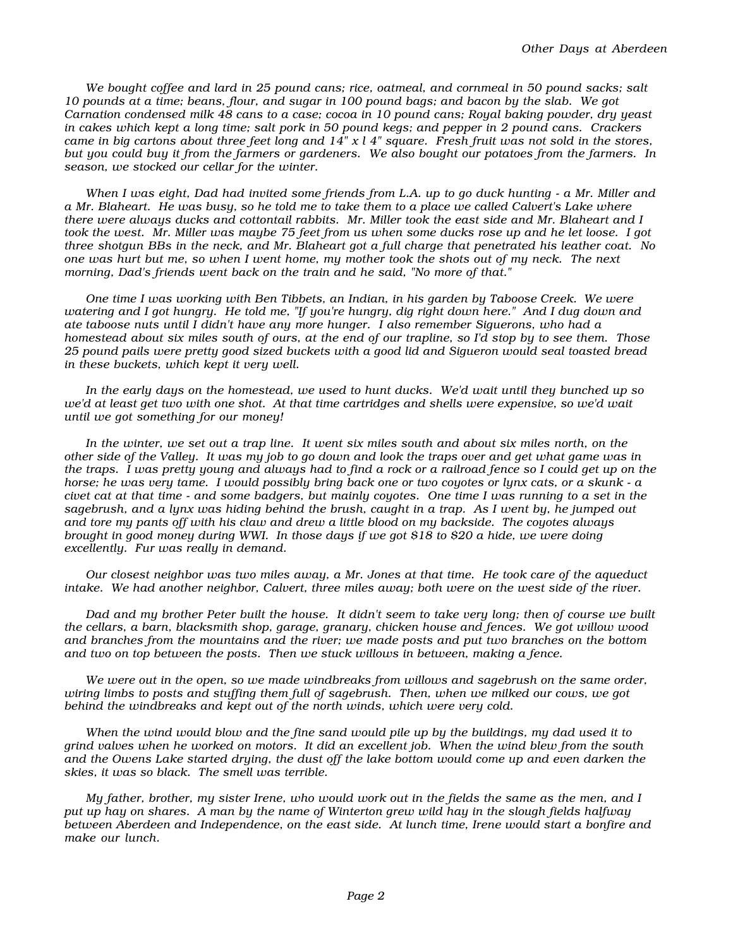We bought coffee and lard in 25 pound cans; rice, oatmeal, and cornmeal in 50 pound sacks; salt 10 pounds at a time; beans, flour, and sugar in 100 pound bags; and bacon by the slab. We got Carnation condensed milk 48 cans to a case; cocoa in 10 pound cans; Royal baking powder, dry yeast in cakes which kept a long time; salt pork in 50 pound kegs; and pepper in 2 pound cans. Crackers came in big cartons about three feet long and  $14''$  x l 4" square. Fresh fruit was not sold in the stores, but you could buy it from the farmers or gardeners. We also bought our potatoes from the farmers. In season, we stocked our cellar for the winter.

When I was eight, Dad had invited some friends from L.A. up to go duck hunting - a Mr. Miller and a Mr. Blaheart. He was busy, so he told me to take them to a place we called Calvert's Lake where there were always ducks and cottontail rabbits. Mr. Miller took the east side and Mr. Blaheart and I took the west. Mr. Miller was maybe 75 feet from us when some ducks rose up and he let loose. I got three shotgun BBs in the neck, and Mr. Blaheart got a full charge that penetrated his leather coat. No one was hurt but me, so when I went home, my mother took the shots out of my neck. The next morning, Dad's friends went back on the train and he said, "No more of that."

One time I was working with Ben Tibbets, an Indian, in his garden by Taboose Creek. We were watering and I got hungry. He told me, "If you're hungry, dig right down here." And I dug down and ate taboose nuts until I didn't have any more hunger. I also remember Siguerons, who had a homestead about six miles south of ours, at the end of our trapline, so I'd stop by to see them. Those 25 pound pails were pretty good sized buckets with a good lid and Sigueron would seal toasted bread in these buckets, which kept it very well.

In the early days on the homestead, we used to hunt ducks. We'd wait until they bunched up so we'd at least get two with one shot. At that time cartridges and shells were expensive, so we'd wait until we got something for our money!

In the winter, we set out a trap line. It went six miles south and about six miles north, on the other side of the Valley. It was my job to go down and look the traps over and get what game was in the traps. I was pretty young and always had to find a rock or a railroad fence so I could get up on the horse; he was very tame. I would possibly bring back one or two coyotes or lynx cats, or a skunk - a civet cat at that time - and some badgers, but mainly coyotes. One time I was running to a set in the sagebrush, and a lynx was hiding behind the brush, caught in a trap. As I went by, he jumped out and tore my pants off with his claw and drew a little blood on my backside. The coyotes always brought in good money during WWI. In those days if we got \$18 to \$20 a hide, we were doing excellently. Fur was really in demand.

Our closest neighbor was two miles away, a Mr. Jones at that time. He took care of the aqueduct intake. We had another neighbor, Calvert, three miles away; both were on the west side of the river.

Dad and my brother Peter built the house. It didn't seem to take very long; then of course we built the cellars, a barn, blacksmith shop, garage, granary, chicken house and fences. We got willow wood and branches from the mountains and the river; we made posts and put two branches on the bottom and two on top between the posts. Then we stuck willows in between, making a fence.

We were out in the open, so we made windbreaks from willows and sagebrush on the same order, wiring limbs to posts and stuffing them full of sagebrush. Then, when we milked our cows, we got behind the windbreaks and kept out of the north winds, which were very cold.

When the wind would blow and the fine sand would pile up by the buildings, my dad used it to grind valves when he worked on motors. It did an excellent job. When the wind blew from the south and the Owens Lake started drying, the dust off the lake bottom would come up and even darken the skies, it was so black. The smell was terrible.

My father, brother, my sister Irene, who would work out in the fields the same as the men, and I put up hay on shares. A man by the name of Winterton grew wild hay in the slough fields halfway between Aberdeen and Independence, on the east side. At lunch time, Irene would start a bonfire and make our lunch.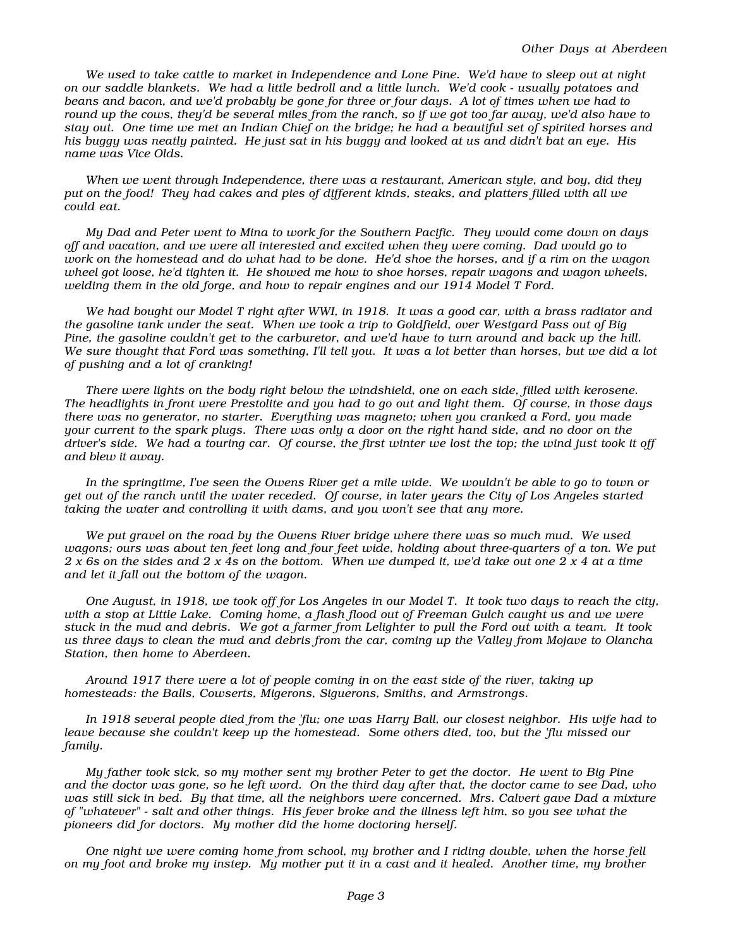We used to take cattle to market in Independence and Lone Pine. We'd have to sleep out at night on our saddle blankets. We had a little bedroll and a little lunch. We'd cook - usually potatoes and beans and bacon, and we'd probably be gone for three or four days. A lot of times when we had to round up the cows, they'd be several miles from the ranch, so if we got too far away, we'd also have to stay out. One time we met an Indian Chief on the bridge; he had a beautiful set of spirited horses and his buggy was neatly painted. He just sat in his buggy and looked at us and didn't bat an eye. His name was Vice Olds.

When we went through Independence, there was a restaurant, American style, and boy, did they put on the food! They had cakes and pies of different kinds, steaks, and platters filled with all we could eat.

My Dad and Peter went to Mina to work for the Southern Pacific. They would come down on days off and vacation, and we were all interested and excited when they were coming. Dad would go to work on the homestead and do what had to be done. He'd shoe the horses, and if a rim on the wagon wheel got loose, he'd tighten it. He showed me how to shoe horses, repair wagons and wagon wheels, welding them in the old forge, and how to repair engines and our 1914 Model T Ford.

We had bought our Model T right after WWI, in 1918. It was a good car, with a brass radiator and the gasoline tank under the seat. When we took a trip to Goldfield, over Westgard Pass out of Big Pine, the gasoline couldn't get to the carburetor, and we'd have to turn around and back up the hill. We sure thought that Ford was something, I'll tell you. It was a lot better than horses, but we did a lot of pushing and a lot of cranking!

There were lights on the body right below the windshield, one on each side, filled with kerosene. The headlights in front were Prestolite and you had to go out and light them. Of course, in those days there was no generator, no starter. Everything was magneto; when you cranked a Ford, you made your current to the spark plugs. There was only a door on the right hand side, and no door on the driver's side. We had a touring car. Of course, the first winter we lost the top; the wind just took it off and blew it away.

In the springtime, I've seen the Owens River get a mile wide. We wouldn't be able to go to town or get out of the ranch until the water receded. Of course, in later years the City of Los Angeles started taking the water and controlling it with dams, and you won't see that any more.

We put gravel on the road by the Owens River bridge where there was so much mud. We used wagons; ours was about ten feet long and four feet wide, holding about three-quarters of a ton. We put 2 x 6s on the sides and 2 x 4s on the bottom. When we dumped it, we'd take out one 2 x 4 at a time and let it fall out the bottom of the wagon.

One August, in 1918, we took off for Los Angeles in our Model T. It took two days to reach the city, with a stop at Little Lake. Coming home, a flash flood out of Freeman Gulch caught us and we were stuck in the mud and debris. We got a farmer from Lelighter to pull the Ford out with a team. It took us three days to clean the mud and debris from the car, coming up the Valley from Mojave to Olancha Station, then home to Aberdeen.

Around 1917 there were a lot of people coming in on the east side of the river, taking up homesteads: the Balls, Cowserts, Migerons, Siguerons, Smiths, and Armstrongs.

In 1918 several people died from the 'flu; one was Harry Ball, our closest neighbor. His wife had to leave because she couldn't keep up the homestead. Some others died, too, but the 'flu missed our family.

My father took sick, so my mother sent my brother Peter to get the doctor. He went to Big Pine and the doctor was gone, so he left word. On the third day after that, the doctor came to see Dad, who was still sick in bed. By that time, all the neighbors were concerned. Mrs. Calvert gave Dad a mixture of "whatever" - salt and other things. His fever broke and the illness left him, so you see what the pioneers did for doctors. My mother did the home doctoring herself.

One night we were coming home from school, my brother and I riding double, when the horse fell on my foot and broke my instep. My mother put it in a cast and it healed. Another time, my brother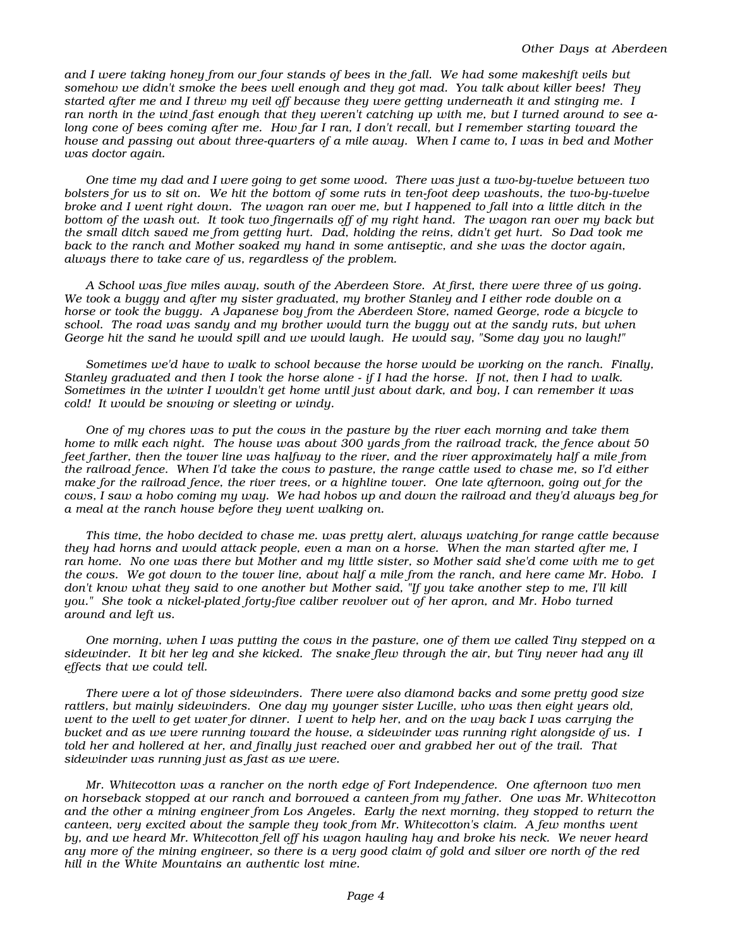and I were taking honey from our four stands of bees in the fall. We had some makeshift veils but somehow we didn't smoke the bees well enough and they got mad. You talk about killer bees! They started after me and I threw my veil off because they were getting underneath it and stinging me. I ran north in the wind fast enough that they weren't catching up with me, but I turned around to see along cone of bees coming after me. How far I ran, I don't recall, but I remember starting toward the house and passing out about three-quarters of a mile away. When I came to, I was in bed and Mother was doctor again.

One time my dad and I were going to get some wood. There was just a two-by-twelve between two bolsters for us to sit on. We hit the bottom of some ruts in ten-foot deep washouts, the two-by-twelve broke and I went right down. The wagon ran over me, but I happened to fall into a little ditch in the bottom of the wash out. It took two fingernails off of my right hand. The wagon ran over my back but the small ditch saved me from getting hurt. Dad, holding the reins, didn't get hurt. So Dad took me back to the ranch and Mother soaked my hand in some antiseptic, and she was the doctor again, always there to take care of us, regardless of the problem.

A School was five miles away, south of the Aberdeen Store. At first, there were three of us going. We took a buggy and after my sister graduated, my brother Stanley and I either rode double on a horse or took the buggy. A Japanese boy from the Aberdeen Store, named George, rode a bicycle to school. The road was sandy and my brother would turn the buggy out at the sandy ruts, but when George hit the sand he would spill and we would laugh. He would say, "Some day you no laugh!"

Sometimes we'd have to walk to school because the horse would be working on the ranch. Finally, Stanley graduated and then I took the horse alone - if I had the horse. If not, then I had to walk. Sometimes in the winter I wouldn't get home until just about dark, and boy, I can remember it was cold! It would be snowing or sleeting or windy.

One of my chores was to put the cows in the pasture by the river each morning and take them home to milk each night. The house was about 300 yards from the railroad track, the fence about 50 feet farther, then the tower line was halfway to the river, and the river approximately half a mile from the railroad fence. When I'd take the cows to pasture, the range cattle used to chase me, so I'd either make for the railroad fence, the river trees, or a highline tower. One late afternoon, going out for the cows, I saw a hobo coming my way. We had hobos up and down the railroad and they'd always beg for a meal at the ranch house before they went walking on.

This time, the hobo decided to chase me. was pretty alert, always watching for range cattle because they had horns and would attack people, even a man on a horse. When the man started after me, I ran home. No one was there but Mother and my little sister, so Mother said she'd come with me to get the cows. We got down to the tower line, about half a mile from the ranch, and here came Mr. Hobo. I don't know what they said to one another but Mother said, "If you take another step to me, I'll kill you." She took a nickel-plated forty-five caliber revolver out of her apron, and Mr. Hobo turned around and left us.

One morning, when I was putting the cows in the pasture, one of them we called Tiny stepped on a sidewinder. It bit her leg and she kicked. The snake flew through the air, but Tiny never had any ill effects that we could tell.

There were a lot of those sidewinders. There were also diamond backs and some pretty good size rattlers, but mainly sidewinders. One day my younger sister Lucille, who was then eight years old, went to the well to get water for dinner. I went to help her, and on the way back I was carrying the bucket and as we were running toward the house, a sidewinder was running right alongside of us. I told her and hollered at her, and finally just reached over and grabbed her out of the trail. That sidewinder was running just as fast as we were.

Mr. Whitecotton was a rancher on the north edge of Fort Independence. One afternoon two men on horseback stopped at our ranch and borrowed a canteen from my father. One was Mr. Whitecotton and the other a mining engineer from Los Angeles. Early the next morning, they stopped to return the canteen, very excited about the sample they took from Mr. Whitecotton's claim. A few months went by, and we heard Mr. Whitecotton fell off his wagon hauling hay and broke his neck. We never heard any more of the mining engineer, so there is a very good claim of gold and silver ore north of the red hill in the White Mountains an authentic lost mine.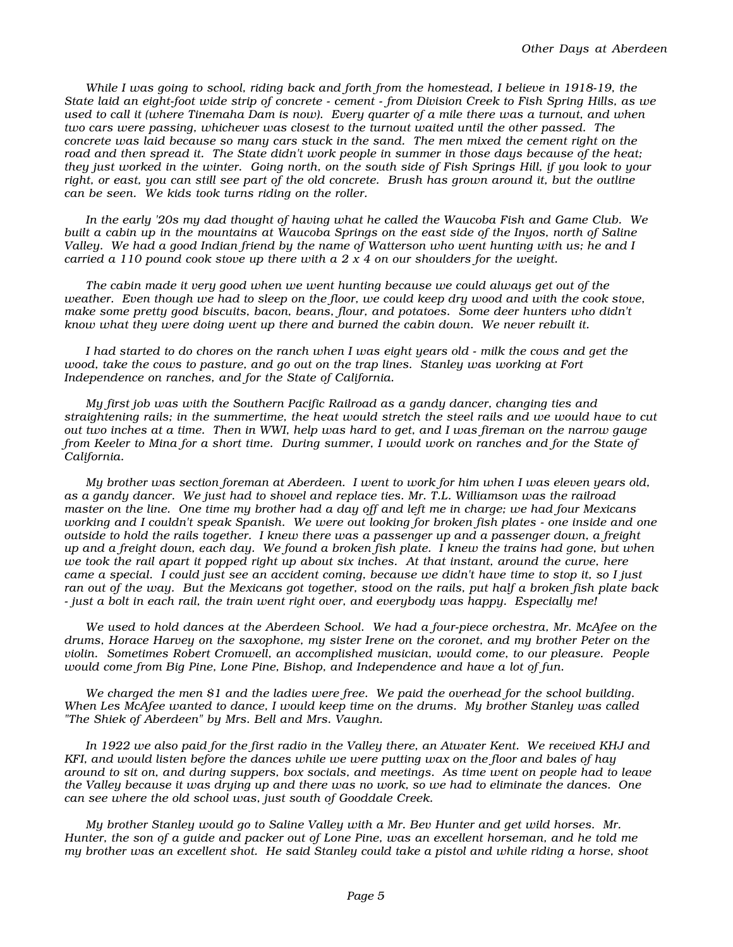While I was going to school, riding back and forth from the homestead, I believe in 1918-19, the State laid an eight-foot wide strip of concrete - cement - from Division Creek to Fish Spring Hills, as we used to call it (where Tinemaha Dam is now). Every quarter of a mile there was a turnout, and when two cars were passing, whichever was closest to the turnout waited until the other passed. The concrete was laid because so many cars stuck in the sand. The men mixed the cement right on the road and then spread it. The State didn't work people in summer in those days because of the heat; they just worked in the winter. Going north, on the south side of Fish Springs Hill, if you look to your right, or east, you can still see part of the old concrete. Brush has grown around it, but the outline can be seen. We kids took turns riding on the roller.

In the early '20s my dad thought of having what he called the Waucoba Fish and Game Club. We built a cabin up in the mountains at Waucoba Springs on the east side of the Inyos, north of Saline Valley. We had a good Indian friend by the name of Watterson who went hunting with us; he and I carried a 110 pound cook stove up there with a  $2 \times 4$  on our shoulders for the weight.

The cabin made it very good when we went hunting because we could always get out of the weather. Even though we had to sleep on the floor, we could keep dry wood and with the cook stove, make some pretty good biscuits, bacon, beans, flour, and potatoes. Some deer hunters who didn't know what they were doing went up there and burned the cabin down. We never rebuilt it.

I had started to do chores on the ranch when I was eight years old - milk the cows and get the wood, take the cows to pasture, and go out on the trap lines. Stanley was working at Fort Independence on ranches, and for the State of California.

My first job was with the Southern Pacific Railroad as a gandy dancer, changing ties and straightening rails; in the summertime, the heat would stretch the steel rails and we would have to cut out two inches at a time. Then in WWI, help was hard to get, and I was fireman on the narrow gauge from Keeler to Mina for a short time. During summer, I would work on ranches and for the State of California.

My brother was section foreman at Aberdeen. I went to work for him when I was eleven years old, as a gandy dancer. We just had to shovel and replace ties. Mr. T.L. Williamson was the railroad master on the line. One time my brother had a day off and left me in charge; we had four Mexicans working and I couldn't speak Spanish. We were out looking for broken fish plates - one inside and one outside to hold the rails together. I knew there was a passenger up and a passenger down, a freight up and a freight down, each day. We found a broken fish plate. I knew the trains had gone, but when we took the rail apart it popped right up about six inches. At that instant, around the curve, here came a special. I could just see an accident coming, because we didn't have time to stop it, so I just ran out of the way. But the Mexicans got together, stood on the rails, put half a broken fish plate back - just a bolt in each rail, the train went right over, and everybody was happy. Especially me!

We used to hold dances at the Aberdeen School. We had a four-piece orchestra, Mr. McAfee on the drums, Horace Harvey on the saxophone, my sister Irene on the coronet, and my brother Peter on the violin. Sometimes Robert Cromwell, an accomplished musician, would come, to our pleasure. People would come from Big Pine, Lone Pine, Bishop, and Independence and have a lot of fun.

We charged the men \$1 and the ladies were free. We paid the overhead for the school building. When Les McAfee wanted to dance, I would keep time on the drums. My brother Stanley was called "The Shiek of Aberdeen" by Mrs. Bell and Mrs. Vaughn.

In 1922 we also paid for the first radio in the Valley there, an Atwater Kent. We received KHJ and KFI, and would listen before the dances while we were putting wax on the floor and bales of hay around to sit on, and during suppers, box socials, and meetings. As time went on people had to leave the Valley because it was drying up and there was no work, so we had to eliminate the dances. One can see where the old school was, just south of Gooddale Creek.

My brother Stanley would go to Saline Valley with a Mr. Bev Hunter and get wild horses. Mr. Hunter, the son of a guide and packer out of Lone Pine, was an excellent horseman, and he told me my brother was an excellent shot. He said Stanley could take a pistol and while riding a horse, shoot